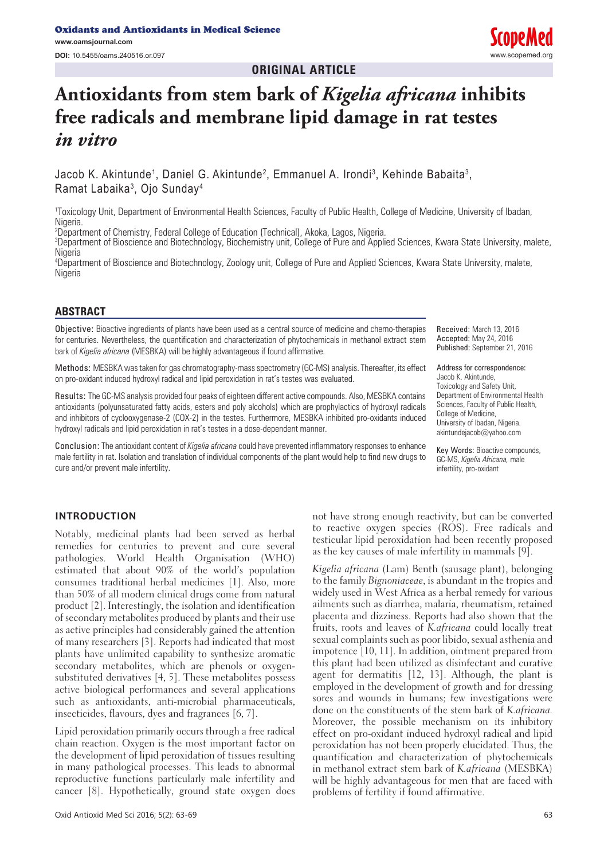**ORIGINAL ARTICLE**

# **Antioxidants from stem bark of** *Kigelia africana* **inhibits free radicals and membrane lipid damage in rat testes**  *in vitro*

Jacob K. Akintunde<sup>1</sup>, Daniel G. Akintunde<sup>2</sup>, Emmanuel A. Irondi<sup>3</sup>, Kehinde Babaita<sup>3</sup>, Ramat Labaika3 , Ojo Sunday4

1 Toxicology Unit, Department of Environmental Health Sciences, Faculty of Public Health, College of Medicine, University of Ibadan, Nigeria.

2 Department of Chemistry, Federal College of Education (Technical), Akoka, Lagos, Nigeria.

3 Department of Bioscience and Biotechnology, Biochemistry unit, College of Pure and Applied Sciences, Kwara State University, malete, **Nigeria** 

4 Department of Bioscience and Biotechnology, Zoology unit, College of Pure and Applied Sciences, Kwara State University, malete, **Nigeria** 

## **ABSTRACT**

Objective: Bioactive ingredients of plants have been used as a central source of medicine and chemo-therapies for centuries. Nevertheless, the quantification and characterization of phytochemicals in methanol extract stem bark of *Kigelia africana* (MESBKA) will be highly advantageous if found affirmative.

Methods: MESBKA was taken for gas chromatography-mass spectrometry (GC-MS) analysis. Thereafter, its effect on pro-oxidant induced hydroxyl radical and lipid peroxidation in rat's testes was evaluated.

Results: The GC-MS analysis provided four peaks of eighteen different active compounds. Also, MESBKA contains antioxidants (polyunsaturated fatty acids, esters and poly alcohols) which are prophylactics of hydroxyl radicals and inhibitors of cyclooxygenase-2 (COX-2) in the testes. Furthermore, MESBKA inhibited pro-oxidants induced hydroxyl radicals and lipid peroxidation in rat's testes in a dose-dependent manner.

Conclusion: The antioxidant content of *Kigelia africana* could have prevented inflammatory responses to enhance male fertility in rat. Isolation and translation of individual components of the plant would help to find new drugs to cure and/or prevent male infertility.

Received: March 13, 2016 Accepted: May 24, 2016 Published: September 21, 2016

Address for correspondence: Jacob K. Akintunde, Toxicology and Safety Unit, Department of Environmental Health Sciences, Faculty of Public Health, College of Medicine, University of Ibadan, Nigeria. akintundejacob@yahoo.com

Key Words: Bioactive compounds, GC-MS, *Kigelia Africana,* male infertility, pro-oxidant

#### **INTRODUCTION**

Notably, medicinal plants had been served as herbal remedies for centuries to prevent and cure several pathologies. World Health Organisation (WHO) estimated that about 90% of the world's population consumes traditional herbal medicines [1]. Also, more than 50% of all modern clinical drugs come from natural product [2]. Interestingly, the isolation and identification of secondary metabolites produced by plants and their use as active principles had considerably gained the attention of many researchers [3]. Reports had indicated that most plants have unlimited capability to synthesize aromatic secondary metabolites, which are phenols or oxygensubstituted derivatives [4, 5]. These metabolites possess active biological performances and several applications such as antioxidants, anti-microbial pharmaceuticals, insecticides, flavours, dyes and fragrances [6, 7].

Lipid peroxidation primarily occurs through a free radical chain reaction. Oxygen is the most important factor on the development of lipid peroxidation of tissues resulting in many pathological processes. This leads to abnormal reproductive functions particularly male infertility and cancer [8]. Hypothetically, ground state oxygen does

not have strong enough reactivity, but can be converted to reactive oxygen species (ROS). Free radicals and testicular lipid peroxidation had been recently proposed as the key causes of male infertility in mammals [9].

Kigelia africana (Lam) Benth (sausage plant), belonging to the family Bignoniaceae, is abundant in the tropics and widely used in West Africa as a herbal remedy for various ailments such as diarrhea, malaria, rheumatism, retained placenta and dizziness. Reports had also shown that the fruits, roots and leaves of K.africana could locally treat sexual complaints such as poor libido, sexual asthenia and impotence [10, 11]. In addition, ointment prepared from this plant had been utilized as disinfectant and curative agent for dermatitis [12, 13]. Although, the plant is employed in the development of growth and for dressing sores and wounds in humans; few investigations were done on the constituents of the stem bark of K.africana. Moreover, the possible mechanism on its inhibitory effect on pro-oxidant induced hydroxyl radical and lipid peroxidation has not been properly elucidated. Thus, the quantification and characterization of phytochemicals in methanol extract stem bark of K.africana (MESBKA) will be highly advantageous for men that are faced with problems of fertility if found affirmative.

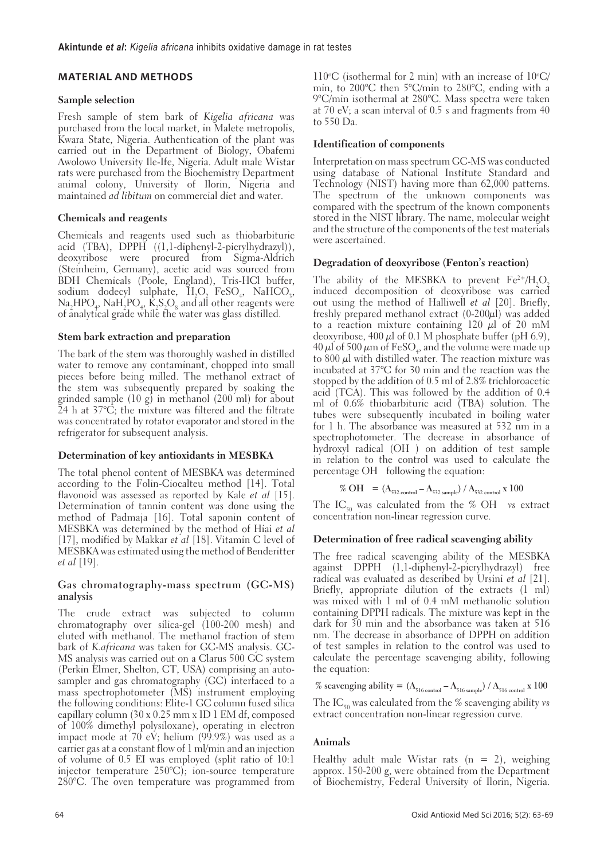# **MATERIAL AND METHODS**

## **Sample selection**

Fresh sample of stem bark of Kigelia africana was purchased from the local market, in Malete metropolis, Kwara State, Nigeria. Authentication of the plant was carried out in the Department of Biology, Obafemi Awolowo University Ile-Ife, Nigeria. Adult male Wistar rats were purchased from the Biochemistry Department animal colony, University of Ilorin, Nigeria and maintained ad libitum on commercial diet and water.

# **Chemicals and reagents**

Chemicals and reagents used such as thiobarbituric acid (TBA), DPPH ((1,1-diphenyl-2-picrylhydrazyl)), deoxyribose were procured from Sigma-Aldrich (Steinheim, Germany), acetic acid was sourced from BDH Chemicals (Poole, England), Tris-HCl buffer, sodium dodecyl sulphate,  $H_2O_2 \cdot FeSO_4$ , NaHCO<sub>3</sub>,  $\text{Na}_2\text{HPO}_4$ ,  $\text{NaH}_2\text{PO}_4$ ,  $\text{K}_2\text{S}_2\text{O}_8$  and all other reagents were of analytical grade while the water was glass distilled.

# **Stem bark extraction and preparation**

The bark of the stem was thoroughly washed in distilled water to remove any contaminant, chopped into small pieces before being milled. The methanol extract of the stem was subsequently prepared by soaking the grinded sample  $(10 \text{ g})$  in methanol  $(200 \text{ ml})$  for about 24 h at 37°C; the mixture was filtered and the filtrate was concentrated by rotator evaporator and stored in the refrigerator for subsequent analysis.

# **Determination of key antioxidants in MESBKA**

The total phenol content of MESBKA was determined according to the Folin-Ciocalteu method [14]. Total flavonoid was assessed as reported by Kale *et al* [15]. Determination of tannin content was done using the method of Padmaja [16]. Total saponin content of MESBKA was determined by the method of Hiai et al [17], modified by Makkar et al [18]. Vitamin C level of MESBKA was estimated using the method of Benderitter et al [19].

#### **Gas chromatography-mass spectrum (GC-MS) analysis**

The crude extract was subjected to column chromatography over silica-gel (100-200 mesh) and eluted with methanol. The methanol fraction of stem bark of K.africana was taken for GC-MS analysis. GC-MS analysis was carried out on a Clarus 500 GC system (Perkin Elmer, Shelton, CT, USA) comprising an autosampler and gas chromatography (GC) interfaced to a mass spectrophotometer (MS) instrument employing the following conditions: Elite-1 GC column fused silica capillary column (30 x 0.25 mm x ID 1 EM df, composed of 100% dimethyl polysiloxane), operating in electron impact mode at  $70$  eV; helium  $(99.9\%)$  was used as a carrier gas at a constant flow of 1 ml/min and an injection of volume of 0.5 EI was employed (split ratio of 10:1 injector temperature 250°C); ion-source temperature 280°C. The oven temperature was programmed from

110 $\degree$ C (isothermal for 2 min) with an increase of 10 $\degree$ C/ min, to 200°C then 5°C/min to 280°C, ending with a 9°C/min isothermal at 280°C. Mass spectra were taken at 70 eV; a scan interval of 0.5 s and fragments from 40 to 550 Da.

## **Identification of components**

Interpretation on mass spectrum GC-MS was conducted using database of National Institute Standard and Technology (NIST) having more than 62,000 patterns. The spectrum of the unknown components was compared with the spectrum of the known components stored in the NIST library. The name, molecular weight and the structure of the components of the test materials were ascertained.

## **Degradation of deoxyribose (Fenton's reaction)**

The ability of the MESBKA to prevent  $\rm Fe^{2+}/H_2O_2$ induced decomposition of deoxyribose was carried out using the method of Halliwell et al [20]. Briefly, freshly prepared methanol extract  $(0-200\mu\text{I})$  was added to a reaction mixture containing 120  $\mu$ l of 20 mM deoxyribose,  $400 \mu l$  of 0.1 M phosphate buffer (pH 6.9),  $40 \mu$ l of 500  $\mu$ m of FeSO<sub>4</sub>, and the volume were made up to  $800 \mu l$  with distilled water. The reaction mixture was incubated at 37°C for 30 min and the reaction was the stopped by the addition of 0.5 ml of 2.8% trichloroacetic acid (TCA). This was followed by the addition of 0.4 ml of 0.6% thiobarbituric acid (TBA) solution. The tubes were subsequently incubated in boiling water for 1 h. The absorbance was measured at 532 nm in a spectrophotometer. The decrease in absorbance of hydroxyl radical (OH•) on addition of test sample in relation to the control was used to calculate the percentage OH• following the equation:

$$
\% \text{ OH} \bullet = (\text{A}_{532 \text{ control}} - \text{A}_{532 \text{ sample}}) / \text{A}_{532 \text{ control}} \times 100
$$

The IC<sub>50</sub> was calculated from the % OH• vs extract concentration non-linear regression curve.

# **Determination of free radical scavenging ability**

The free radical scavenging ability of the MESBKA against DPPH (1,1-diphenyl-2-picrylhydrazyl) free radical was evaluated as described by Ursini et al [21]. Briefly, appropriate dilution of the extracts (1 ml) was mixed with 1 ml of 0.4 mM methanolic solution containing DPPH radicals. The mixture was kept in the dark for 30 min and the absorbance was taken at 516 nm. The decrease in absorbance of DPPH on addition of test samples in relation to the control was used to calculate the percentage scavenging ability, following the equation:

% scavenging ability =  $(A_{516 \text{ control}} - A_{516 \text{ sample}}) / A_{516 \text{ control}} \times 100$ 

The IC<sub>50</sub> was calculated from the % scavenging ability vs extract concentration non-linear regression curve.

# **Animals**

Healthy adult male Wistar rats  $(n = 2)$ , weighing approx. 150-200 g, were obtained from the Department of Biochemistry, Federal University of Ilorin, Nigeria.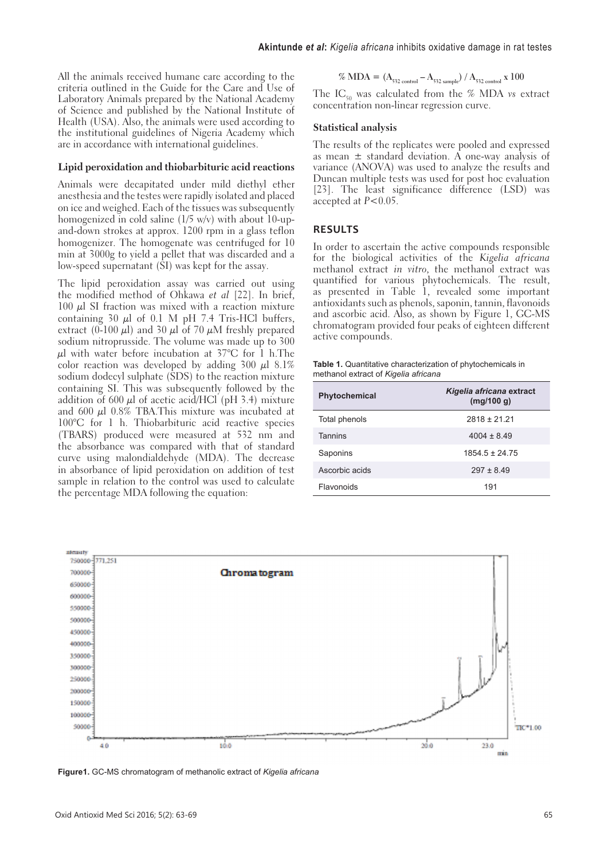All the animals received humane care according to the criteria outlined in the Guide for the Care and Use of Laboratory Animals prepared by the National Academy of Science and published by the National Institute of Health (USA). Also, the animals were used according to the institutional guidelines of Nigeria Academy which are in accordance with international guidelines.

#### **Lipid peroxidation and thiobarbituric acid reactions**

Animals were decapitated under mild diethyl ether anesthesia and the testes were rapidly isolated and placed on ice and weighed. Each of the tissues was subsequently homogenized in cold saline (1/5 w/v) with about 10-upand-down strokes at approx. 1200 rpm in a glass teflon homogenizer. The homogenate was centrifuged for 10 min at 3000g to yield a pellet that was discarded and a low-speed supernatant (SI) was kept for the assay.

The lipid peroxidation assay was carried out using the modified method of Ohkawa et al [22]. In brief,  $100 \mu$ l SI fraction was mixed with a reaction mixture containing 30  $\mu$ l of 0.1 M pH 7.4 Tris-HCl buffers, extract (0-100  $\mu$ l) and 30  $\mu$ l of 70  $\mu$ M freshly prepared sodium nitroprusside. The volume was made up to 300  $\mu$ l with water before incubation at 37°C for 1 h.The color reaction was developed by adding  $300 \mu l$  8.1% sodium dodecyl sulphate (SDS) to the reaction mixture containing SI. This was subsequently followed by the addition of 600  $\mu$ l of acetic acid/HCl (pH 3.4) mixture and 600  $\mu$ l 0.8% TBA.This mixture was incubated at 100°C for 1 h. Thiobarbituric acid reactive species (TBARS) produced were measured at 532 nm and the absorbance was compared with that of standard curve using malondialdehyde (MDA). The decrease in absorbance of lipid peroxidation on addition of test sample in relation to the control was used to calculate the percentage MDA following the equation:

$$
\% \text{ MDA} = (\text{A}_{532 \text{ control}} - \text{A}_{532 \text{ sample}}) / \text{A}_{532 \text{ control}} \times 100
$$

The IC<sub>50</sub> was calculated from the % MDA vs extract concentration non-linear regression curve.

#### **Statistical analysis**

The results of the replicates were pooled and expressed as mean  $\pm$  standard deviation. A one-way analysis of variance (ANOVA) was used to analyze the results and Duncan multiple tests was used for post hoc evaluation [23]. The least significance difference (LSD) was accepted at P<0.05.

#### **RESULTS**

In order to ascertain the active compounds responsible for the biological activities of the Kigelia africana methanol extract in vitro, the methanol extract was quantified for various phytochemicals. The result, as presented in Table 1, revealed some important antioxidants such as phenols, saponin, tannin, flavonoids and ascorbic acid. Also, as shown by Figure 1, GC-MS chromatogram provided four peaks of eighteen different active compounds.

| Table 1. Quantitative characterization of phytochemicals in |  |
|-------------------------------------------------------------|--|
| methanol extract of Kigelia africana                        |  |

| <b>Phytochemical</b> | Kigelia africana extract<br>(mq/100 q) |
|----------------------|----------------------------------------|
| Total phenols        | $2818 \pm 21.21$                       |
| <b>Tannins</b>       | $4004 \pm 8.49$                        |
| Saponins             | $1854.5 \pm 24.75$                     |
| Ascorbic acids       | $297 \pm 8.49$                         |
| Flavonoids           | 191                                    |



**Figure1.** GC-MS chromatogram of methanolic extract of *Kigelia africana*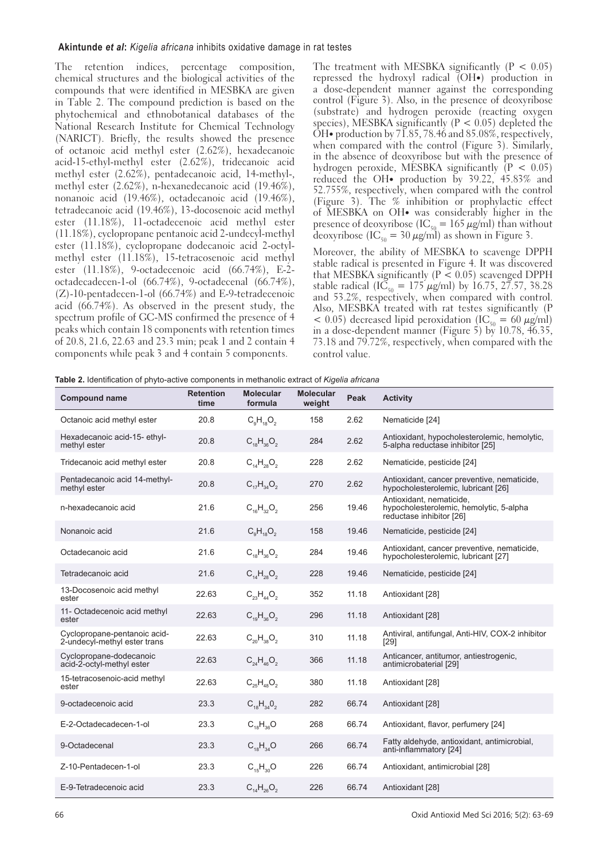#### **Akintunde** *et al***:** *Kigelia africana* inhibits oxidative damage in rat testes

The retention indices, percentage composition, chemical structures and the biological activities of the compounds that were identified in MESBKA are given in Table 2. The compound prediction is based on the phytochemical and ethnobotanical databases of the National Research Institute for Chemical Technology (NARICT). Briefly, the results showed the presence of octanoic acid methyl ester (2.62%), hexadecanoic acid-15-ethyl-methyl ester (2.62%), tridecanoic acid methyl ester (2.62%), pentadecanoic acid, 14-methyl-, methyl ester (2.62%), n-hexanedecanoic acid (19.46%), nonanoic acid (19.46%), octadecanoic acid (19.46%), tetradecanoic acid (19.46%), 13-docosenoic acid methyl ester (11.18%), 11-octadecenoic acid methyl ester (11.18%), cyclopropane pentanoic acid 2-undecyl-methyl ester (11.18%), cyclopropane dodecanoic acid 2-octylmethyl ester (11.18%), 15-tetracosenoic acid methyl ester (11.18%), 9-octadecenoic acid (66.74%), E-2 octadecadecen-1-ol (66.74%), 9-octadecenal (66.74%), (Z)-10-pentadecen-1-ol (66.74%) and E-9-tetradecenoic acid (66.74%). As observed in the present study, the spectrum profile of GC-MS confirmed the presence of 4 peaks which contain 18 components with retention times of 20.8, 21.6, 22.63 and 23.3 min; peak 1 and 2 contain 4 components while peak 3 and 4 contain 5 components.

The treatment with MESBKA significantly  $(P < 0.05)$ repressed the hydroxyl radical (OH**•**) production in a dose-dependent manner against the corresponding control (Figure 3). Also, in the presence of deoxyribose (substrate) and hydrogen peroxide (reacting oxygen species), MESBKA significantly  $(P < 0.05)$  depleted the OH**•** production by 71.85, 78.46 and 85.08%, respectively, when compared with the control (Figure 3). Similarly, in the absence of deoxyribose but with the presence of hydrogen peroxide, MESBKA significantly  $(P < 0.05)$ reduced the OH**•** production by 39.22, 45.83% and 52.755%, respectively, when compared with the control (Figure 3). The % inhibition or prophylactic effect of MESBKA on OH**•** was considerably higher in the presence of deoxyribose (IC<sub>50</sub> = 165  $\mu$ g/ml) than without deoxyribose (IC<sub>50</sub> = 30  $\mu$ g/ml) as shown in Figure 3.

Moreover, the ability of MESBKA to scavenge DPPH stable radical is presented in Figure 4. It was discovered that MESBKA significantly ( $P \le 0.05$ ) scavenged DPPH stable radical (IC<sub>50</sub> = 175  $\mu$ g/ml) by 16.75, 27.57, 38.28 and 53.2%, respectively, when compared with control. Also, MESBKA treated with rat testes significantly (P  $\leq 0.05$ ) decreased lipid peroxidation  $(IC_{50} = 60 \mu g/ml)$ in a dose-dependent manner (Figure 5) by 10.78, 46.35, 73.18 and 79.72%, respectively, when compared with the control value.

**Table 2.** Identification of phyto-active components in methanolic extract of *Kigelia africana*

| <b>Compound name</b>                                         | <b>Retention</b><br>time | <b>Molecular</b><br>formula | <b>Molecular</b><br>weight | Peak  | <b>Activity</b>                                                                                 |
|--------------------------------------------------------------|--------------------------|-----------------------------|----------------------------|-------|-------------------------------------------------------------------------------------------------|
| Octanoic acid methyl ester                                   | 20.8                     | $C_qH_{18}O_2$              | 158                        | 2.62  | Nematicide [24]                                                                                 |
| Hexadecanoic acid-15- ethyl-<br>methyl ester                 | 20.8                     | $C_{18}H_{36}O_2$           | 284                        | 2.62  | Antioxidant, hypocholesterolemic, hemolytic,<br>5-alpha reductase inhibitor [25]                |
| Tridecanoic acid methyl ester                                | 20.8                     | $C_{14}H_{28}O_2$           | 228                        | 2.62  | Nematicide, pesticide [24]                                                                      |
| Pentadecanoic acid 14-methyl-<br>methyl ester                | 20.8                     | $C_{17}H_{34}O_2$           | 270                        | 2.62  | Antioxidant, cancer preventive, nematicide,<br>hypocholesterolemic, lubricant [26]              |
| n-hexadecanoic acid                                          | 21.6                     | $C_{16}H_{32}O_2$           | 256                        | 19.46 | Antioxidant, nematicide,<br>hypocholesterolemic, hemolytic, 5-alpha<br>reductase inhibitor [26] |
| Nonanoic acid                                                | 21.6                     | $C_qH_{18}O_2$              | 158                        | 19.46 | Nematicide, pesticide [24]                                                                      |
| Octadecanoic acid                                            | 21.6                     | $C_{18}H_{36}O_2$           | 284                        | 19.46 | Antioxidant, cancer preventive, nematicide,<br>hypocholesterolemic, lubricant [27]              |
| Tetradecanoic acid                                           | 21.6                     | $C_{14}H_{28}O_2$           | 228                        | 19.46 | Nematicide, pesticide [24]                                                                      |
| 13-Docosenoic acid methyl<br>ester                           | 22.63                    | $C_{23}H_{44}O_2$           | 352                        | 11.18 | Antioxidant [28]                                                                                |
| 11- Octadecenoic acid methyl<br>ester                        | 22.63                    | $C_{19}H_{36}O_2$           | 296                        | 11.18 | Antioxidant [28]                                                                                |
| Cyclopropane-pentanoic acid-<br>2-undecyl-methyl ester trans | 22.63                    | $C_{20}H_{38}O_2$           | 310                        | 11.18 | Antiviral, antifungal, Anti-HIV, COX-2 inhibitor<br>[29]                                        |
| Cyclopropane-dodecanoic<br>acid-2-octyl-methyl ester         | 22.63                    | $C_{24}H_{46}O_2$           | 366                        | 11.18 | Anticancer, antitumor, antiestrogenic,<br>antimicrobaterial [29]                                |
| 15-tetracosenoic-acid methyl<br>ester                        | 22.63                    | $C_{25}H_{48}O_2$           | 380                        | 11.18 | Antioxidant [28]                                                                                |
| 9-octadecenoic acid                                          | 23.3                     | $C_{18}H_{34}O_2$           | 282                        | 66.74 | Antioxidant [28]                                                                                |
| E-2-Octadecadecen-1-ol                                       | 23.3                     | $C_{18}H_{36}O$             | 268                        | 66.74 | Antioxidant, flavor, perfumery [24]                                                             |
| 9-Octadecenal                                                | 23.3                     | $C_{18}H_{34}O$             | 266                        | 66.74 | Fatty aldehyde, antioxidant, antimicrobial,<br>anti-inflammatory [24]                           |
| Z-10-Pentadecen-1-ol                                         | 23.3                     | $C_{15}H_{30}O$             | 226                        | 66.74 | Antioxidant, antimicrobial [28]                                                                 |
| E-9-Tetradecenoic acid                                       | 23.3                     | $C_{14}H_{26}O_2$           | 226                        | 66.74 | Antioxidant [28]                                                                                |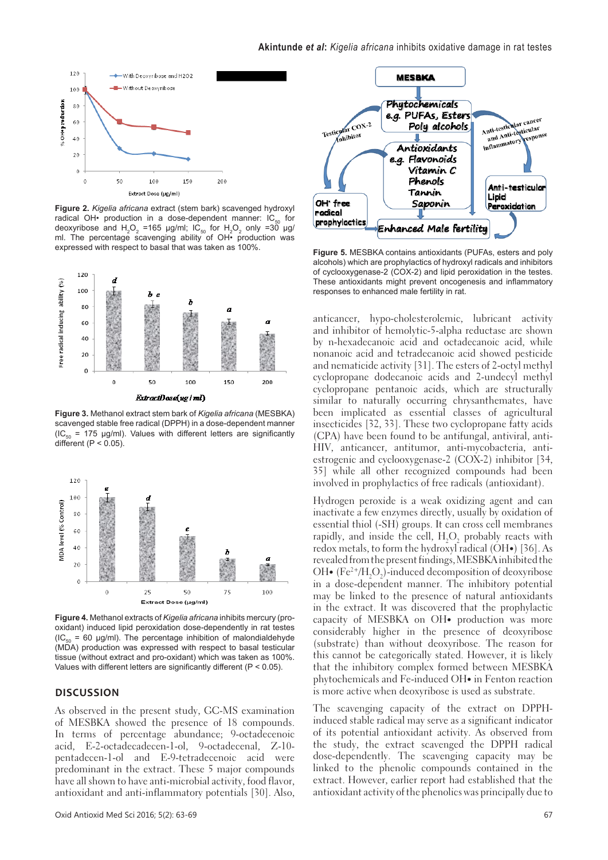

**Figure 2.** *Kigelia africana* extract (stem bark) scavenged hydroxyl radical OH• production in a dose-dependent manner:  $IC_{50}$  for deoxyribose and  $H_2O_2$  =165 µg/ml; IC<sub>50</sub> for  $H_2O_2$  only =30 µg/ ml. The percentage scavenging ability of OH• production was expressed with respect to basal that was taken as 100%.



**Figure 3.** Methanol extract stem bark of *Kigelia africana* (MESBKA) scavenged stable free radical (DPPH) in a dose-dependent manner  $(IC_{50} = 175 \text{ µg/ml})$ . Values with different letters are significantly different ( $P < 0.05$ ).



**Figure 4.** Methanol extracts of *Kigelia africana* inhibits mercury (prooxidant) induced lipid peroxidation dose-dependently in rat testes  $(IC_{50} = 60 \text{ µg/ml})$ . The percentage inhibition of malondialdehyde (MDA) production was expressed with respect to basal testicular tissue (without extract and pro-oxidant) which was taken as 100%. Values with different letters are significantly different (P < 0.05).

#### **DISCUSSION**

As observed in the present study, GC-MS examination of MESBKA showed the presence of 18 compounds. In terms of percentage abundance; 9-octadecenoic acid, E-2-octadecadecen-1-ol, 9-octadecenal, Z-10 pentadecen-1-ol and E-9-tetradecenoic acid were predominant in the extract. These 5 major compounds have all shown to have anti-microbial activity, food flavor, antioxidant and anti-inflammatory potentials [30]. Also,



**Figure 5.** MESBKA contains antioxidants (PUFAs, esters and poly alcohols) which are prophylactics of hydroxyl radicals and inhibitors of cyclooxygenase-2 (COX-2) and lipid peroxidation in the testes. These antioxidants might prevent oncogenesis and inflammatory responses to enhanced male fertility in rat.

anticancer, hypo-cholesterolemic, lubricant activity and inhibitor of hemolytic-5-alpha reductase are shown by n-hexadecanoic acid and octadecanoic acid, while nonanoic acid and tetradecanoic acid showed pesticide and nematicide activity [31]. The esters of 2-octyl methyl cyclopropane dodecanoic acids and 2-undecyl methyl cyclopropane pentanoic acids, which are structurally similar to naturally occurring chrysanthemates, have been implicated as essential classes of agricultural insecticides [32, 33]. These two cyclopropane fatty acids (CPA) have been found to be antifungal, antiviral, anti-HIV, anticancer, antitumor, anti-mycobacteria, antiestrogenic and cyclooxygenase-2 (COX-2) inhibitor [34, 35] while all other recognized compounds had been involved in prophylactics of free radicals (antioxidant).

Hydrogen peroxide is a weak oxidizing agent and can inactivate a few enzymes directly, usually by oxidation of essential thiol (-SH) groups. It can cross cell membranes rapidly, and inside the cell,  $H_2O_2$  probably reacts with redox metals, to form the hydroxyl radical (OH**•**) [36]. As revealed from the present findings, MESBKA inhibited the OH• (Fe<sup>2+</sup>/H<sub>2</sub>O<sub>2</sub>)-induced decomposition of deoxyribose in a dose-dependent manner. The inhibitory potential may be linked to the presence of natural antioxidants in the extract. It was discovered that the prophylactic capacity of MESBKA on OH**•** production was more considerably higher in the presence of deoxyribose (substrate) than without deoxyribose. The reason for this cannot be categorically stated. However, it is likely that the inhibitory complex formed between MESBKA phytochemicals and Fe-induced OH**•** in Fenton reaction is more active when deoxyribose is used as substrate.

The scavenging capacity of the extract on DPPHinduced stable radical may serve as a significant indicator of its potential antioxidant activity. As observed from the study, the extract scavenged the DPPH radical dose-dependently. The scavenging capacity may be linked to the phenolic compounds contained in the extract. However, earlier report had established that the antioxidant activity of the phenolics was principally due to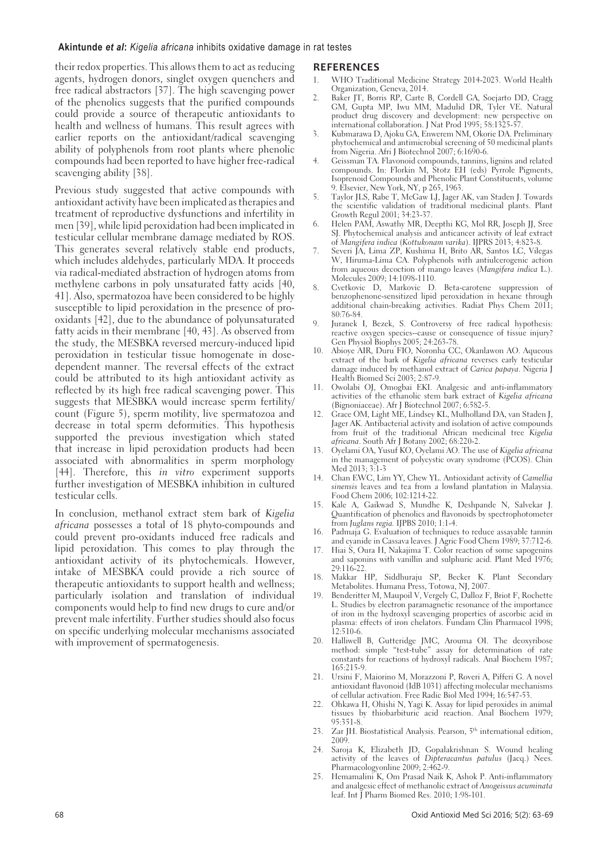#### **Akintunde** *et al***:** *Kigelia africana* inhibits oxidative damage in rat testes

their redox properties. This allows them to act as reducing agents, hydrogen donors, singlet oxygen quenchers and free radical abstractors [37]. The high scavenging power of the phenolics suggests that the purified compounds could provide a source of therapeutic antioxidants to health and wellness of humans. This result agrees with earlier reports on the antioxidant/radical scavenging ability of polyphenols from root plants where phenolic compounds had been reported to have higher free-radical scavenging ability [38].

Previous study suggested that active compounds with antioxidant activity have been implicated as therapies and treatment of reproductive dysfunctions and infertility in men [39], while lipid peroxidation had been implicated in testicular cellular membrane damage mediated by ROS. This generates several relatively stable end products, which includes aldehydes, particularly MDA. It proceeds via radical-mediated abstraction of hydrogen atoms from methylene carbons in poly unsaturated fatty acids [40, 41]. Also, spermatozoa have been considered to be highly susceptible to lipid peroxidation in the presence of prooxidants [42], due to the abundance of polyunsaturated fatty acids in their membrane [40, 43]. As observed from the study, the MESBKA reversed mercury-induced lipid peroxidation in testicular tissue homogenate in dosedependent manner. The reversal effects of the extract could be attributed to its high antioxidant activity as reflected by its high free radical scavenging power. This suggests that MESBKA would increase sperm fertility/ count (Figure 5), sperm motility, live spermatozoa and decrease in total sperm deformities. This hypothesis supported the previous investigation which stated that increase in lipid peroxidation products had been associated with abnormalities in sperm morphology [44]. Therefore, this *in vitro* experiment supports further investigation of MESBKA inhibition in cultured testicular cells.

In conclusion, methanol extract stem bark of Kigelia africana possesses a total of 18 phyto-compounds and could prevent pro-oxidants induced free radicals and lipid peroxidation. This comes to play through the antioxidant activity of its phytochemicals. However, intake of MESBKA could provide a rich source of therapeutic antioxidants to support health and wellness; particularly isolation and translation of individual components would help to find new drugs to cure and/or prevent male infertility. Further studies should also focus on specific underlying molecular mechanisms associated with improvement of spermatogenesis.

#### **REFERENCES**

- 1. WHO Traditional Medicine Strategy 2014-2023. World Health Organization, Geneva, 2014.
- 2. Baker JT, Borris RP, Carte B, Cordell GA, Soejarto DD, Cragg GM, Gupta MP, Iwu MM, Madulid DR, Tyler VE. Natural product drug discovery and development: new perspective on international collaboration. J Nat Prod 1995; 58:1325-57.
- 3. Kubmarawa D, Ajoku GA, Enwerem NM, Okorie DA. Preliminary phytochemical and antimicrobial screening of 50 medicinal plants from Nigeria. Afri J Biotechnol 2007; 6:1690-6.
- 4. Geissman TA. Flavonoid compounds, tannins, lignins and related compounds. In: Florkin M, Stotz EH (eds) Pyrrole Pigments, Isoprenoid Compounds and Phenolic Plant Constituents, volume 9. Elsevier, New York, NY, p 265, 1963.
- 5. Taylor JLS, Rabe T, McGaw LJ, Jager AK, van Staden J. Towards the scientific validation of traditional medicinal plants. Plant Growth Regul 2001; 34:23-37.
- 6. Helen PAM, Aswathy MR, Deepthi KG, Mol RR, Joseph JJ, Sree SJ. Phytochemical analysis and anticancer activity of leaf extract of Mangifera indica (Kottukonam varika). IJPRS 2013; 4:823-8.
- 7. Severi JA, Lima ZP, Kushima H, Brito AR, Santos LC, Vilegas W, Hiruma-Lima CA. Polyphenols with antiulcerogenic action from aqueous decoction of mango leaves (Mangifera indica L.). Molecules 2009; 14:1098-1110.
- 8. Cvetkovic D, Markovic D. Beta-carotene suppression of benzophenone-sensitized lipid peroxidation in hexane through additional chain-breaking activities. Radiat Phys Chem 2011; 80:76-84.
- Juranek I, Bezek, S. Controversy of free radical hypothesis: reactive oxygen species--cause or consequence of tissue injury? Gen Physiol Biophys 2005; 24:263-78.
- 10. Abioye AIR, Duru FIO, Noronha CC, Okanlawon AO. Aqueous extract of the bark of Kigelia africana reverses early testicular damage induced by methanol extract of Carica papaya. Nigeria J Health Biomed Sci 2003; 2:87-9.
- 11. Owolabi OJ, Omogbai EKI. Analgesic and anti-inflammatory activities of the ethanolic stem bark extract of Kigelia africana (Bignoniaceae). Afr J Biotechnol 2007; 6:582-5.
- 12. Grace OM, Light ME, Lindsey KL, Mulholland DA, van Staden J, Jager AK. Antibacterial activity and isolation of active compounds from fruit of the traditional African medicinal tree Kigelia africana. South Afr J Botany 2002; 68:220-2.
- 13. Oyelami OA, Yusuf KO, Oyelami AO. The use of Kigelia africana in the management of polycystic ovary syndrome (PCOS). Chin Med 2013; 3:1-3
- 14. Chan EWC, Lim YY, Chew YL. Antioxidant activity of Camellia sinensis leaves and tea from a lowland plantation in Malaysia. Food Chem 2006; 102:1214-22.
- 15. Kale A, Gaikwad S, Mundhe K, Deshpande N, Salvekar J. Quantification of phenolics and flavonoids by spectrophotometer from Juglans regia. IJPBS 2010; 1:1-4.
- 16. Padmaja G. Evaluation of techniques to reduce assayable tannin and cyanide in Cassava leaves. J Agric Food Chem 1989; 37:712-6.
- Hiai S, Oura H, Nakajima T. Color reaction of some sapogenins and saponins with vanillin and sulphuric acid. Plant Med 1976; 29:116-22.
- 18. Makkar HP, Siddhuraju SP, Becker K. Plant Secondary Metabolites. Humana Press, Totowa, NJ, 2007.
- Benderitter M, Maupoil V, Vergely C, Dalloz F, Briot F, Rochette L. Studies by electron paramagnetic resonance of the importance of iron in the hydroxyl scavenging properties of ascorbic acid in plasma: effects of iron chelators. Fundam Clin Pharmacol 1998; 12:510-6.
- 20. Halliwell B, Gutteridge JMC, Arouma OI. The deoxyribose method: simple "test-tube" assay for determination of rate constants for reactions of hydroxyl radicals. Anal Biochem 1987; 165:215-9.
- 21. Ursini F, Maiorino M, Morazzoni P, Roveri A, Pifferi G. A novel antioxidant flavonoid (IdB 1031) affecting molecular mechanisms of cellular activation. Free Radic Biol Med 1994; 16:547-53.
- 22. Ohkawa H, Ohishi N, Yagi K. Assay for lipid peroxides in animal tissues by thiobarbituric acid reaction. Anal Biochem 1979; 95:351-8.
- 23. Zar JH. Biostatistical Analysis. Pearson, 5<sup>th</sup> international edition, 2009.
- 24. Saroja K, Elizabeth JD, Gopalakrishnan S. Wound healing activity of the leaves of Dipteracantus patulus (Jacq.) Nees. Pharmacologyonline 2009; 2:462-9.
- 25. Hemamalini K, Om Prasad Naik K, Ashok P. Anti-inflammatory and analgesic effect of methanolic extract of Anogeissus acuminata leaf. Int J Pharm Biomed Res. 2010; 1:98-101.